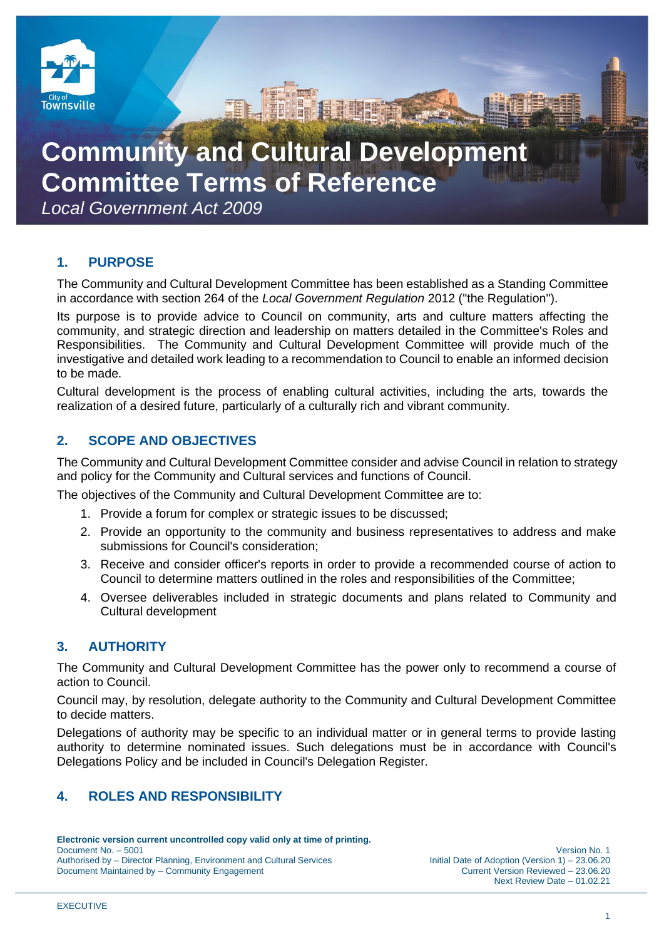

# **Community and Cultural Development Committee Terms of Reference**

*Local Government Act 2009*

# **1. PURPOSE**

The Community and Cultural Development Committee has been established as a Standing Committee in accordance with section 264 of the *Local Government Regulation* 2012 ("the Regulation").

E 19 E THEFT

Its purpose is to provide advice to Council on community, arts and culture matters affecting the community, and strategic direction and leadership on matters detailed in the Committee's Roles and Responsibilities. The Community and Cultural Development Committee will provide much of the investigative and detailed work leading to a recommendation to Council to enable an informed decision to be made.

Cultural development is the process of enabling cultural activities, including the arts, towards the realization of a desired future, particularly of a culturally rich and vibrant community.

# **2. SCOPE AND OBJECTIVES**

The Community and Cultural Development Committee consider and advise Council in relation to strategy and policy for the Community and Cultural services and functions of Council.

The objectives of the Community and Cultural Development Committee are to:

- 1. Provide a forum for complex or strategic issues to be discussed;
- 2. Provide an opportunity to the community and business representatives to address and make submissions for Council's consideration;
- 3. Receive and consider officer's reports in order to provide a recommended course of action to Council to determine matters outlined in the roles and responsibilities of the Committee;
- 4. Oversee deliverables included in strategic documents and plans related to Community and Cultural development

# **3. AUTHORITY**

The Community and Cultural Development Committee has the power only to recommend a course of action to Council.

Council may, by resolution, delegate authority to the Community and Cultural Development Committee to decide matters.

Delegations of authority may be specific to an individual matter or in general terms to provide lasting authority to determine nominated issues. Such delegations must be in accordance with Council's Delegations Policy and be included in Council's Delegation Register.

# **4. ROLES AND RESPONSIBILITY**

**Electronic version current uncontrolled copy valid only at time of printing.**  Document No. – 5001<br>23.06.20 Version No. 1<br>23.06.20 Initial Date of Adoption (Version 1) – 23.06.20 Authorised by – Director Planning, Environment and Cultural Services Initial Date of Adoption (Version 1) – 23.06.20<br>Document Maintained by – Community Engagement Cultural Services Current Version Reviewed – 23.06.20 Document Maintained by – Community Engagement

Next Review Date – 01.02.21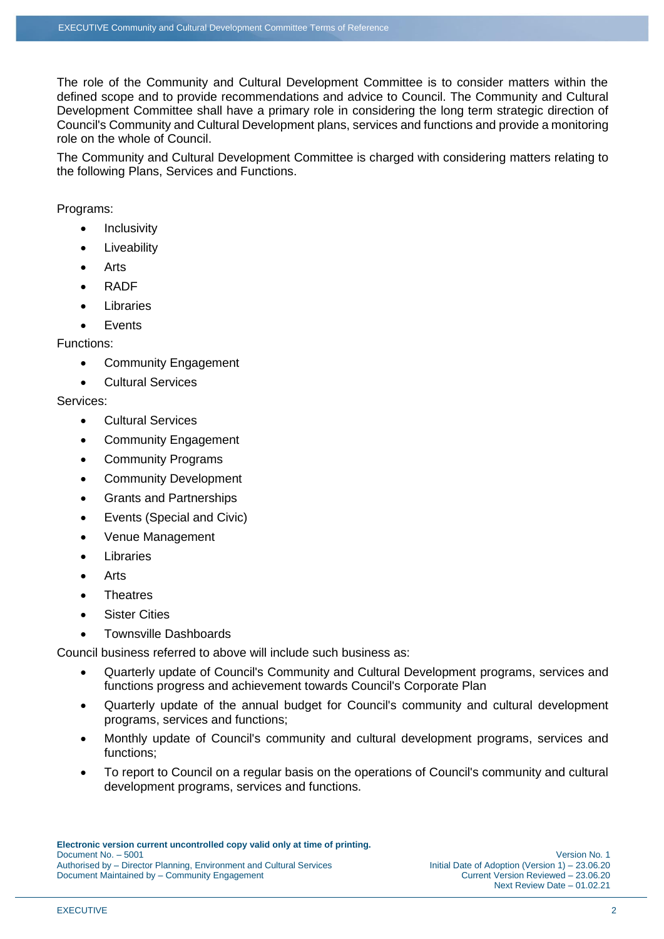The role of the Community and Cultural Development Committee is to consider matters within the defined scope and to provide recommendations and advice to Council. The Community and Cultural Development Committee shall have a primary role in considering the long term strategic direction of Council's Community and Cultural Development plans, services and functions and provide a monitoring role on the whole of Council.

The Community and Cultural Development Committee is charged with considering matters relating to the following Plans, Services and Functions.

Programs:

- **Inclusivity**
- Liveability
- Arts
- RADF
- Libraries
- **Fvents**

Functions:

- Community Engagement
- Cultural Services

#### Services:

- Cultural Services
- Community Engagement
- Community Programs
- Community Development
- Grants and Partnerships
- Events (Special and Civic)
- Venue Management
- Libraries
- Arts
- **Theatres**
- **Sister Cities**
- Townsville Dashboards

Council business referred to above will include such business as:

- Quarterly update of Council's Community and Cultural Development programs, services and functions progress and achievement towards Council's Corporate Plan
- Quarterly update of the annual budget for Council's community and cultural development programs, services and functions;
- Monthly update of Council's community and cultural development programs, services and functions;
- To report to Council on a regular basis on the operations of Council's community and cultural development programs, services and functions.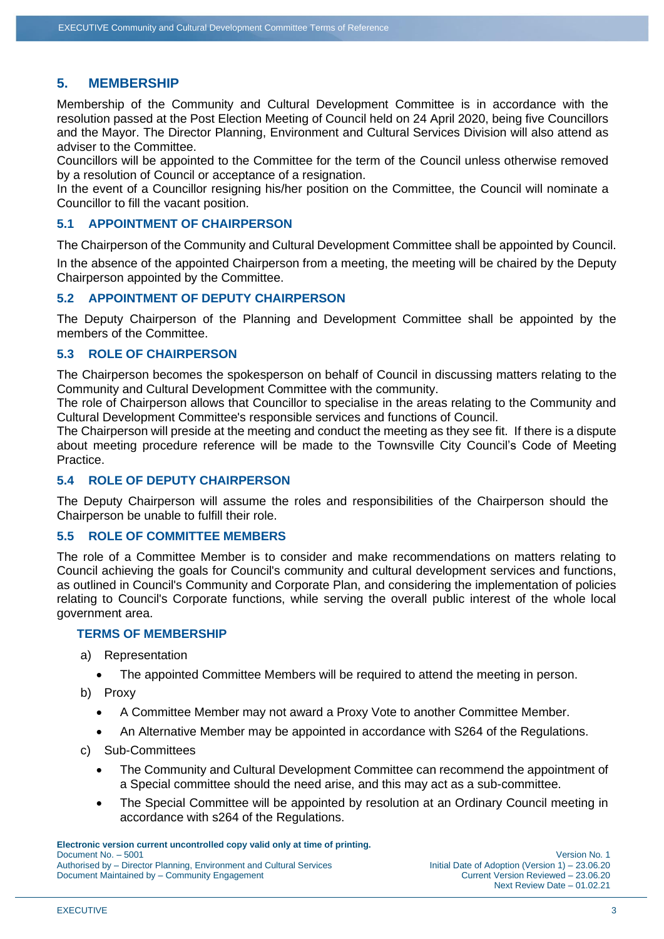# **5. MEMBERSHIP**

Membership of the Community and Cultural Development Committee is in accordance with the resolution passed at the Post Election Meeting of Council held on 24 April 2020, being five Councillors and the Mayor. The Director Planning, Environment and Cultural Services Division will also attend as adviser to the Committee.

Councillors will be appointed to the Committee for the term of the Council unless otherwise removed by a resolution of Council or acceptance of a resignation.

In the event of a Councillor resigning his/her position on the Committee, the Council will nominate a Councillor to fill the vacant position.

#### **5.1 APPOINTMENT OF CHAIRPERSON**

The Chairperson of the Community and Cultural Development Committee shall be appointed by Council.

In the absence of the appointed Chairperson from a meeting, the meeting will be chaired by the Deputy Chairperson appointed by the Committee.

#### **5.2 APPOINTMENT OF DEPUTY CHAIRPERSON**

The Deputy Chairperson of the Planning and Development Committee shall be appointed by the members of the Committee.

#### **5.3 ROLE OF CHAIRPERSON**

The Chairperson becomes the spokesperson on behalf of Council in discussing matters relating to the Community and Cultural Development Committee with the community.

The role of Chairperson allows that Councillor to specialise in the areas relating to the Community and Cultural Development Committee's responsible services and functions of Council.

The Chairperson will preside at the meeting and conduct the meeting as they see fit. If there is a dispute about meeting procedure reference will be made to the Townsville City Council's Code of Meeting Practice.

## **5.4 ROLE OF DEPUTY CHAIRPERSON**

The Deputy Chairperson will assume the roles and responsibilities of the Chairperson should the Chairperson be unable to fulfill their role.

#### **5.5 ROLE OF COMMITTEE MEMBERS**

The role of a Committee Member is to consider and make recommendations on matters relating to Council achieving the goals for Council's community and cultural development services and functions, as outlined in Council's Community and Corporate Plan, and considering the implementation of policies relating to Council's Corporate functions, while serving the overall public interest of the whole local government area.

#### **TERMS OF MEMBERSHIP**

- a) Representation
	- The appointed Committee Members will be required to attend the meeting in person.
- b) Proxy
	- A Committee Member may not award a Proxy Vote to another Committee Member.
	- An Alternative Member may be appointed in accordance with S264 of the Regulations.
- c) Sub-Committees
	- The Community and Cultural Development Committee can recommend the appointment of a Special committee should the need arise, and this may act as a sub-committee.
	- The Special Committee will be appointed by resolution at an Ordinary Council meeting in accordance with s264 of the Regulations.

**Electronic version current uncontrolled copy valid only at time of printing.**  Document No. – 5001 Version No. 1 **Authorised by – Director Planning, Environment and Cultural Services** 

Document Maintained by – Community Engagement Current Version Reviewed – 23.06.20 Next Review Date – 01.02.21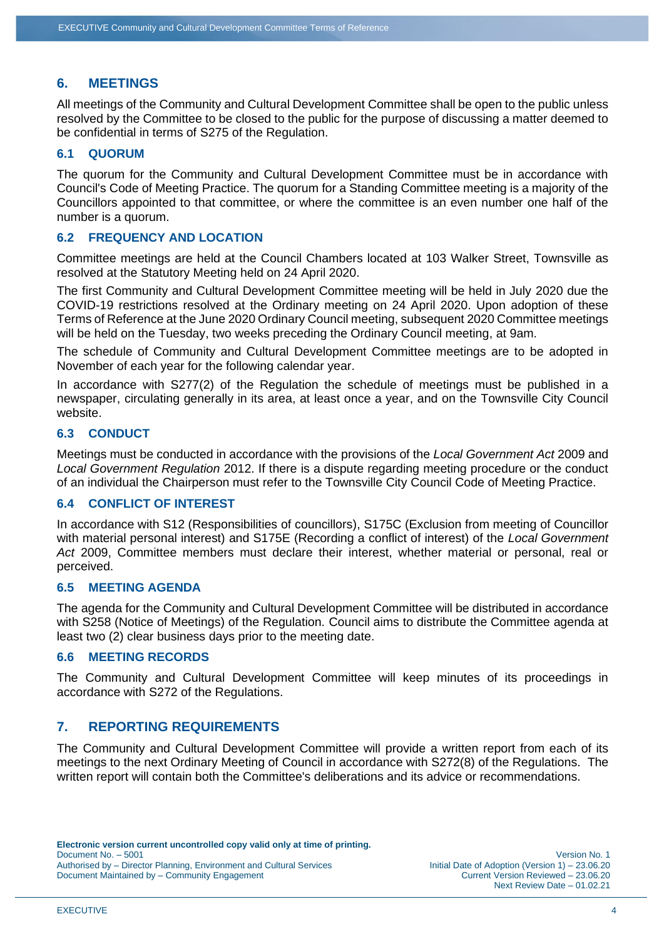## **6. MEETINGS**

All meetings of the Community and Cultural Development Committee shall be open to the public unless resolved by the Committee to be closed to the public for the purpose of discussing a matter deemed to be confidential in terms of S275 of the Regulation.

#### **6.1 QUORUM**

The quorum for the Community and Cultural Development Committee must be in accordance with Council's Code of Meeting Practice. The quorum for a Standing Committee meeting is a majority of the Councillors appointed to that committee, or where the committee is an even number one half of the number is a quorum.

#### **6.2 FREQUENCY AND LOCATION**

Committee meetings are held at the Council Chambers located at 103 Walker Street, Townsville as resolved at the Statutory Meeting held on 24 April 2020.

The first Community and Cultural Development Committee meeting will be held in July 2020 due the COVID-19 restrictions resolved at the Ordinary meeting on 24 April 2020. Upon adoption of these Terms of Reference at the June 2020 Ordinary Council meeting, subsequent 2020 Committee meetings will be held on the Tuesday, two weeks preceding the Ordinary Council meeting, at 9am.

The schedule of Community and Cultural Development Committee meetings are to be adopted in November of each year for the following calendar year.

In accordance with S277(2) of the Regulation the schedule of meetings must be published in a newspaper, circulating generally in its area, at least once a year, and on the Townsville City Council website.

## **6.3 CONDUCT**

Meetings must be conducted in accordance with the provisions of the *Local Government Act* 2009 and *Local Government Regulation* 2012. If there is a dispute regarding meeting procedure or the conduct of an individual the Chairperson must refer to the Townsville City Council Code of Meeting Practice.

#### **6.4 CONFLICT OF INTEREST**

In accordance with S12 (Responsibilities of councillors), S175C (Exclusion from meeting of Councillor with material personal interest) and S175E (Recording a conflict of interest) of the *Local Government Act* 2009, Committee members must declare their interest, whether material or personal, real or perceived.

#### **6.5 MEETING AGENDA**

The agenda for the Community and Cultural Development Committee will be distributed in accordance with S258 (Notice of Meetings) of the Regulation. Council aims to distribute the Committee agenda at least two (2) clear business days prior to the meeting date.

#### **6.6 MEETING RECORDS**

The Community and Cultural Development Committee will keep minutes of its proceedings in accordance with S272 of the Regulations.

## **7. REPORTING REQUIREMENTS**

The Community and Cultural Development Committee will provide a written report from each of its meetings to the next Ordinary Meeting of Council in accordance with S272(8) of the Regulations. The written report will contain both the Committee's deliberations and its advice or recommendations.